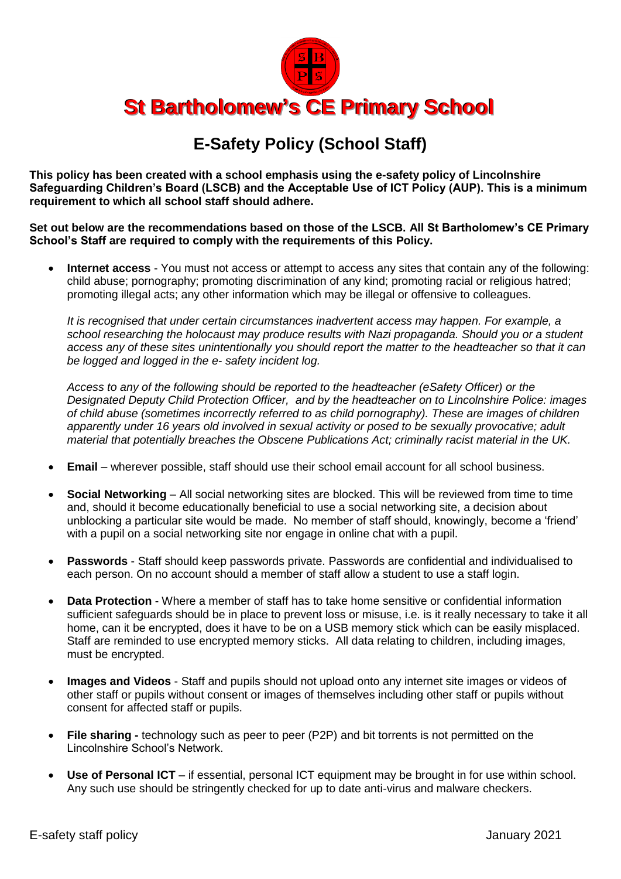

## **E-Safety Policy (School Staff)**

**This policy has been created with a school emphasis using the e-safety policy of Lincolnshire Safeguarding Children's Board (LSCB) and the Acceptable Use of ICT Policy (AUP). This is a minimum requirement to which all school staff should adhere.**

**Set out below are the recommendations based on those of the LSCB. All St Bartholomew's CE Primary School's Staff are required to comply with the requirements of this Policy.** 

 **Internet access** - You must not access or attempt to access any sites that contain any of the following: child abuse; pornography; promoting discrimination of any kind; promoting racial or religious hatred; promoting illegal acts; any other information which may be illegal or offensive to colleagues.

*It is recognised that under certain circumstances inadvertent access may happen. For example, a school researching the holocaust may produce results with Nazi propaganda. Should you or a student access any of these sites unintentionally you should report the matter to the headteacher so that it can be logged and logged in the e- safety incident log.*

*Access to any of the following should be reported to the headteacher (eSafety Officer) or the Designated Deputy Child Protection Officer, and by the headteacher on to Lincolnshire Police: images of child abuse (sometimes incorrectly referred to as child pornography). These are images of children apparently under 16 years old involved in sexual activity or posed to be sexually provocative; adult material that potentially breaches the Obscene Publications Act; criminally racist material in the UK.*

- **Email**  wherever possible, staff should use their school email account for all school business.
- **Social Networking**  All social networking sites are blocked. This will be reviewed from time to time and, should it become educationally beneficial to use a social networking site, a decision about unblocking a particular site would be made. No member of staff should, knowingly, become a 'friend' with a pupil on a social networking site nor engage in online chat with a pupil.
- **Passwords**  Staff should keep passwords private. Passwords are confidential and individualised to each person. On no account should a member of staff allow a student to use a staff login.
- **Data Protection**  Where a member of staff has to take home sensitive or confidential information sufficient safeguards should be in place to prevent loss or misuse, i.e. is it really necessary to take it all home, can it be encrypted, does it have to be on a USB memory stick which can be easily misplaced. Staff are reminded to use encrypted memory sticks. All data relating to children, including images, must be encrypted.
- **Images and Videos**  Staff and pupils should not upload onto any internet site images or videos of other staff or pupils without consent or images of themselves including other staff or pupils without consent for affected staff or pupils.
- **File sharing -** technology such as peer to peer (P2P) and bit torrents is not permitted on the Lincolnshire School's Network.
- Use of Personal ICT if essential, personal ICT equipment may be brought in for use within school. Any such use should be stringently checked for up to date anti-virus and malware checkers.